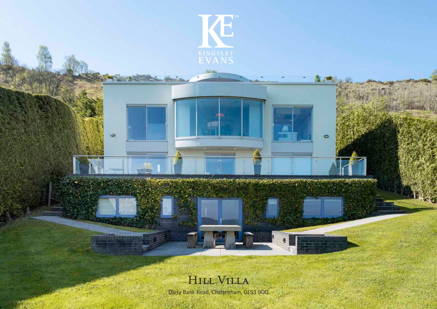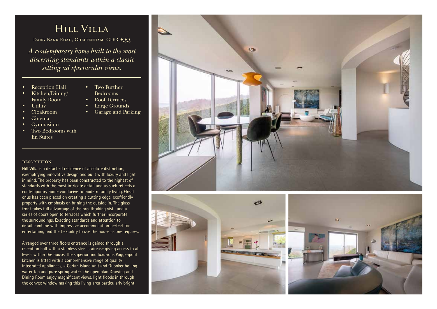## Hill Villa

Daisy Bank Road, Cheltenham, GL53 9QQ

*A contemporary home built to the most discerning standards within a classic setting ad spectacular views.*

> • Two Further Bedrooms • Roof Terraces • Large Grounds • Garage and Parking

- **Reception Hall**
- Kitchen/Dining/ Family Room
- Utility
- Cloakroom
- Cinema
- Gymnasium
- Two Bedrooms with En Suites

## description

Hill Villa is a detached residence of absolute distinction, exemplifying innovative design and built with luxury and light in mind. The property has been constructed to the highest of standards with the most intricate detail and as such reflects a contemporary home conducive to modern family living. Great onus has been placed on creating a cutting edge, ecofriendly property with emphasis on brining the outside in. The glass front takes full advantage of the breathtaking vista and a series of doors open to terraces which further incorporate the surroundings. Exacting standards and attention to detail combine with impressive accommodation perfect for entertaining and the flexibility to use the house as one requires.

Arranged over three floors entrance is gained through a reception hall with a stainless steel staircase giving access to all levels within the house. The superior and luxurious Poggenpohl kitchen is fitted with a comprehensive range of quality integrated appliances, a Corian island unit and Quooker boiling water tap and pure spring water. The open plan Drawing and Dining Room enjoy magnificent views, light floods in through the convex window making this living area particularly bright





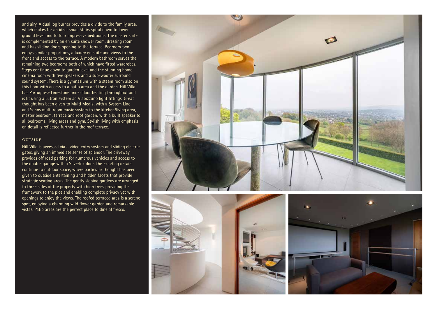and airy. A dual log burner provides a divide to the family area, which makes for an ideal snug. Stairs spiral down to lower ground level and to four impressive bedrooms. The master suite is complemented by an en suite shower room, dressing room and has sliding doors opening to the terrace. Bedroom two enjoys similar proportions, a luxury en suite and views to the front and access to the terrace. A modern bathroom serves the remaining two bedrooms both of which have fitted wardrobes. Steps continue down to garden level and the stunning home cinema room with five speakers and a sub-woofer surround sound system. There is a gymnasium with a steam room also on this floor with access to a patio area and the garden. Hill Villa has Portuguese Limestone under floor heating throughout and is lit using a Lutron system ad Viabizzuno light fittings. Great thought has been given to Multi Media, with a System Line and Sonos multi room music system to the kitchen/living area, master bedroom, terrace and roof garden, with a built speaker to all bedrooms, living areas and gym. Stylish living with emphasis on detail is reflected further in the roof terrace.

## **OUTSIDE**

Hill Villa is accessed via a video entry system and sliding electric gates, giving an immediate sense of splendor. The driveway provides off road parking for numerous vehicles and access to the double garage with a Silverlox door. The exacting details continue to outdoor space, where particular thought has been given to outside entertaining and hidden facets that provide strategic seating areas. The gently sloping gardens are arranged to three sides of the property with high trees providing the framework to the plot and enabling complete privacy yet with openings to enjoy the views. The roofed terraced area is a serene spot, enjoying a charming wild flower garden and remarkable vistas. Patio areas are the perfect place to dine al fresco.

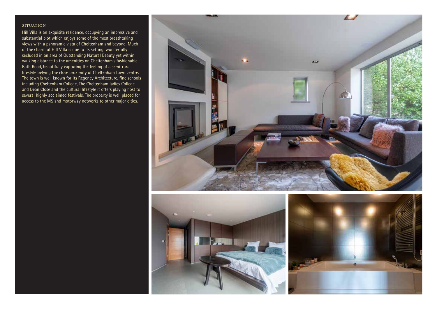## **SITUATION**

Hill Villa is an exquisite residence, occupying an impressive and substantial plot which enjoys some of the most breathtaking views with a panoramic vista of Cheltenham and beyond. Much of the charm of Hill Villa is due to its setting, wonderfully secluded in an area of Outstanding Natural Beauty yet within walking distance to the amenities on Cheltenham's fashionable Bath Road, beautifully capturing the feeling of a semi-rural lifestyle belying the close proximity of Cheltenham town centre. The town is well known for its Regency Architecture, fine schools including Cheltenham College, The Cheltenham ladies College and Dean Close and the cultural lifestyle it offers playing host to several highly acclaimed festivals. The property is well placed for access to the M5 and motorway networks to other major cities.

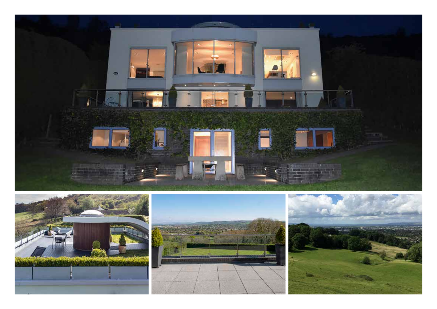